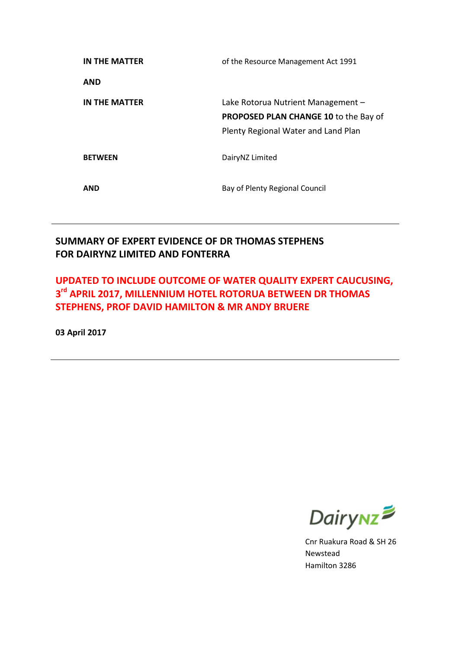| IN THE MATTER  | of the Resource Management Act 1991                                                                                       |
|----------------|---------------------------------------------------------------------------------------------------------------------------|
| AND            |                                                                                                                           |
| IN THE MATTER  | Lake Rotorua Nutrient Management -<br><b>PROPOSED PLAN CHANGE 10 to the Bay of</b><br>Plenty Regional Water and Land Plan |
| <b>BETWEEN</b> | DairyNZ Limited                                                                                                           |
| AND            | Bay of Plenty Regional Council                                                                                            |

### **SUMMARY OF EXPERT EVIDENCE OF DR THOMAS STEPHENS FOR DAIRYNZ LIMITED AND FONTERRA**

### **UPDATED TO INCLUDE OUTCOME OF WATER QUALITY EXPERT CAUCUSING, 3 rd APRIL 2017, MILLENNIUM HOTEL ROTORUA BETWEEN DR THOMAS STEPHENS, PROF DAVID HAMILTON & MR ANDY BRUERE**

**03 April 2017**



Cnr Ruakura Road & SH 26 Newstead Hamilton 3286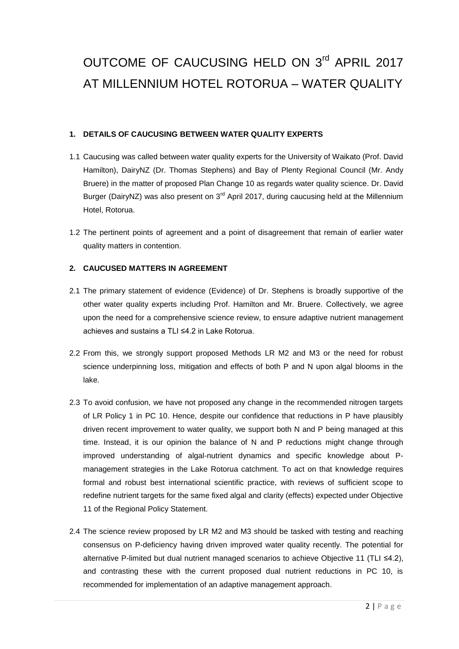# OUTCOME OF CAUCUSING HELD ON 3rd APRIL 2017 AT MILLENNIUM HOTEL ROTORUA – WATER QUALITY

#### **1. DETAILS OF CAUCUSING BETWEEN WATER QUALITY EXPERTS**

- 1.1 Caucusing was called between water quality experts for the University of Waikato (Prof. David Hamilton), DairyNZ (Dr. Thomas Stephens) and Bay of Plenty Regional Council (Mr. Andy Bruere) in the matter of proposed Plan Change 10 as regards water quality science. Dr. David Burger (DairyNZ) was also present on  $3<sup>rd</sup>$  April 2017, during caucusing held at the Millennium Hotel, Rotorua.
- 1.2 The pertinent points of agreement and a point of disagreement that remain of earlier water quality matters in contention.

#### **2. CAUCUSED MATTERS IN AGREEMENT**

- 2.1 The primary statement of evidence (Evidence) of Dr. Stephens is broadly supportive of the other water quality experts including Prof. Hamilton and Mr. Bruere. Collectively, we agree upon the need for a comprehensive science review, to ensure adaptive nutrient management achieves and sustains a TLI ≤4.2 in Lake Rotorua.
- 2.2 From this, we strongly support proposed Methods LR M2 and M3 or the need for robust science underpinning loss, mitigation and effects of both P and N upon algal blooms in the lake.
- 2.3 To avoid confusion, we have not proposed any change in the recommended nitrogen targets of LR Policy 1 in PC 10. Hence, despite our confidence that reductions in P have plausibly driven recent improvement to water quality, we support both N and P being managed at this time. Instead, it is our opinion the balance of N and P reductions might change through improved understanding of algal-nutrient dynamics and specific knowledge about Pmanagement strategies in the Lake Rotorua catchment. To act on that knowledge requires formal and robust best international scientific practice, with reviews of sufficient scope to redefine nutrient targets for the same fixed algal and clarity (effects) expected under Objective 11 of the Regional Policy Statement.
- 2.4 The science review proposed by LR M2 and M3 should be tasked with testing and reaching consensus on P-deficiency having driven improved water quality recently. The potential for alternative P-limited but dual nutrient managed scenarios to achieve Objective 11 (TLI ≤4.2), and contrasting these with the current proposed dual nutrient reductions in PC 10, is recommended for implementation of an adaptive management approach.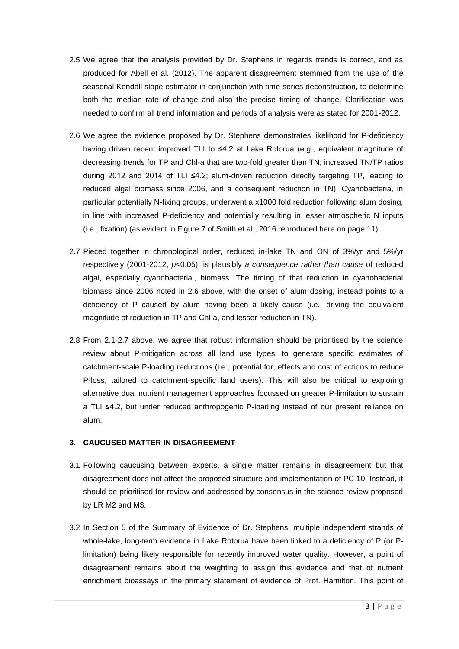- 2.5 We agree that the analysis provided by Dr. Stephens in regards trends is correct, and as produced for Abell et al. (2012). The apparent disagreement stemmed from the use of the seasonal Kendall slope estimator in conjunction with time-series deconstruction, to determine both the median rate of change and also the precise timing of change. Clarification was needed to confirm all trend information and periods of analysis were as stated for 2001-2012.
- 2.6 We agree the evidence proposed by Dr. Stephens demonstrates likelihood for P-deficiency having driven recent improved TLI to ≤4.2 at Lake Rotorua (e.g., equivalent magnitude of decreasing trends for TP and Chl-a that are two-fold greater than TN; increased TN/TP ratios during 2012 and 2014 of TLI ≤4.2; alum-driven reduction directly targeting TP, leading to reduced algal biomass since 2006, and a consequent reduction in TN). Cyanobacteria, in particular potentially N-fixing groups, underwent a x1000 fold reduction following alum dosing, in line with increased P-deficiency and potentially resulting in lesser atmospheric N inputs (i.e., fixation) (as evident in Figure 7 of Smith et al., 2016 reproduced here on page 11).
- 2.7 Pieced together in chronological order, reduced in-lake TN and ON of 3%/yr and 5%/yr respectively (2001-2012, *p*<0.05), is plausibly *a consequence rather than cause* of reduced algal, especially cyanobacterial, biomass. The timing of that reduction in cyanobacterial biomass since 2006 noted in 2.6 above, with the onset of alum dosing, instead points to a deficiency of P caused by alum having been a likely cause (i.e., driving the equivalent magnitude of reduction in TP and Chl-a, and lesser reduction in TN).
- 2.8 From 2.1-2.7 above, we agree that robust information should be prioritised by the science review about P-mitigation across all land use types, to generate specific estimates of catchment-scale P-loading reductions (i.e., potential for, effects and cost of actions to reduce P-loss, tailored to catchment-specific land users). This will also be critical to exploring alternative dual nutrient management approaches focussed on greater P-limitation to sustain a TLI ≤4.2, but under reduced anthropogenic P-loading instead of our present reliance on alum.

#### **3. CAUCUSED MATTER IN DISAGREEMENT**

- 3.1 Following caucusing between experts, a single matter remains in disagreement but that disagreement does not affect the proposed structure and implementation of PC 10. Instead, it should be prioritised for review and addressed by consensus in the science review proposed by LR M2 and M3.
- 3.2 In Section 5 of the Summary of Evidence of Dr. Stephens, multiple independent strands of whole-lake, long-term evidence in Lake Rotorua have been linked to a deficiency of P (or Plimitation) being likely responsible for recently improved water quality. However, a point of disagreement remains about the weighting to assign this evidence and that of nutrient enrichment bioassays in the primary statement of evidence of Prof. Hamilton. This point of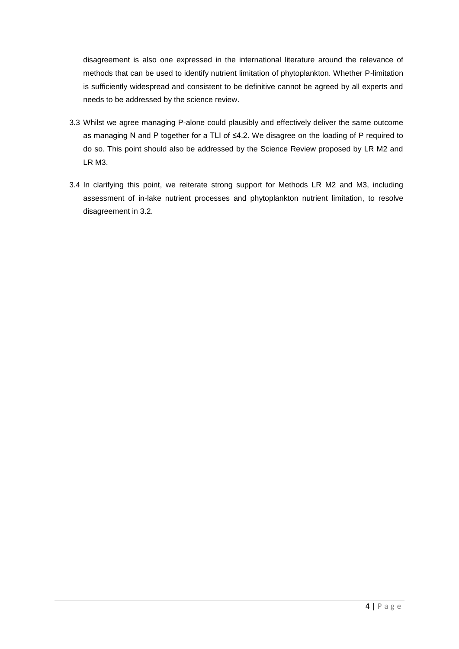disagreement is also one expressed in the international literature around the relevance of methods that can be used to identify nutrient limitation of phytoplankton. Whether P-limitation is sufficiently widespread and consistent to be definitive cannot be agreed by all experts and needs to be addressed by the science review.

- 3.3 Whilst we agree managing P-alone could plausibly and effectively deliver the same outcome as managing N and P together for a TLI of ≤4.2. We disagree on the loading of P required to do so. This point should also be addressed by the Science Review proposed by LR M2 and LR M3.
- 3.4 In clarifying this point, we reiterate strong support for Methods LR M2 and M3, including assessment of in-lake nutrient processes and phytoplankton nutrient limitation, to resolve disagreement in 3.2.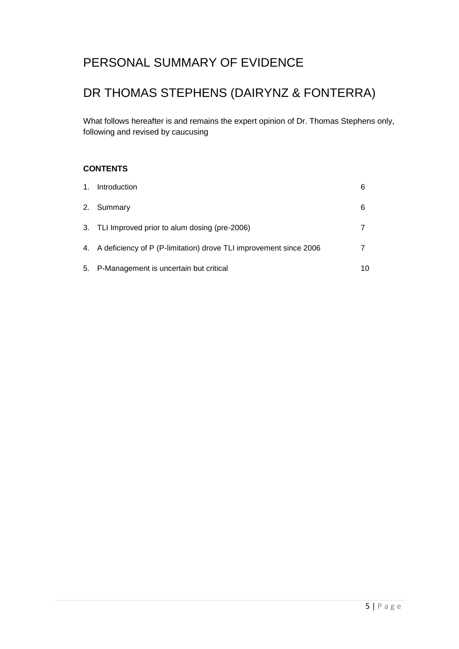## PERSONAL SUMMARY OF EVIDENCE

# DR THOMAS STEPHENS (DAIRYNZ & FONTERRA)

What follows hereafter is and remains the expert opinion of Dr. Thomas Stephens only, following and revised by caucusing

#### **CONTENTS**

| 1. Introduction                                                      | 6  |
|----------------------------------------------------------------------|----|
| 2. Summary                                                           | 6  |
| 3. TLI Improved prior to alum dosing (pre-2006)                      |    |
| 4. A deficiency of P (P-limitation) drove TLI improvement since 2006 |    |
| 5. P-Management is uncertain but critical                            | 10 |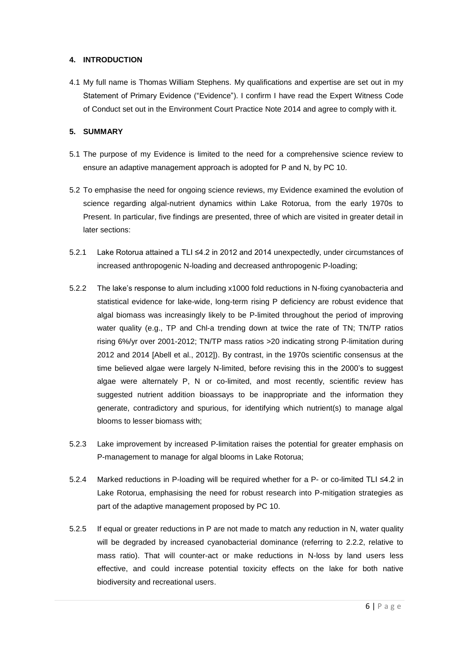#### **4. INTRODUCTION**

4.1 My full name is Thomas William Stephens. My qualifications and expertise are set out in my Statement of Primary Evidence ("Evidence"). I confirm I have read the Expert Witness Code of Conduct set out in the Environment Court Practice Note 2014 and agree to comply with it.

#### **5. SUMMARY**

- 5.1 The purpose of my Evidence is limited to the need for a comprehensive science review to ensure an adaptive management approach is adopted for P and N, by PC 10.
- 5.2 To emphasise the need for ongoing science reviews, my Evidence examined the evolution of science regarding algal-nutrient dynamics within Lake Rotorua, from the early 1970s to Present. In particular, five findings are presented, three of which are visited in greater detail in later sections:
- 5.2.1 Lake Rotorua attained a TLI ≤4.2 in 2012 and 2014 unexpectedly, under circumstances of increased anthropogenic N-loading and decreased anthropogenic P-loading;
- 5.2.2 The lake's response to alum including x1000 fold reductions in N-fixing cyanobacteria and statistical evidence for lake-wide, long-term rising P deficiency are robust evidence that algal biomass was increasingly likely to be P-limited throughout the period of improving water quality (e.g., TP and Chl-a trending down at twice the rate of TN; TN/TP ratios rising 6%/yr over 2001-2012; TN/TP mass ratios >20 indicating strong P-limitation during 2012 and 2014 [Abell et al., 2012]). By contrast, in the 1970s scientific consensus at the time believed algae were largely N-limited, before revising this in the 2000's to suggest algae were alternately P, N or co-limited, and most recently, scientific review has suggested nutrient addition bioassays to be inappropriate and the information they generate, contradictory and spurious, for identifying which nutrient(s) to manage algal blooms to lesser biomass with;
- 5.2.3 Lake improvement by increased P-limitation raises the potential for greater emphasis on P-management to manage for algal blooms in Lake Rotorua;
- 5.2.4 Marked reductions in P-loading will be required whether for a P- or co-limited TLI ≤4.2 in Lake Rotorua, emphasising the need for robust research into P-mitigation strategies as part of the adaptive management proposed by PC 10.
- 5.2.5 If equal or greater reductions in P are not made to match any reduction in N, water quality will be degraded by increased cyanobacterial dominance (referring to 2.2.2, relative to mass ratio). That will counter-act or make reductions in N-loss by land users less effective, and could increase potential toxicity effects on the lake for both native biodiversity and recreational users.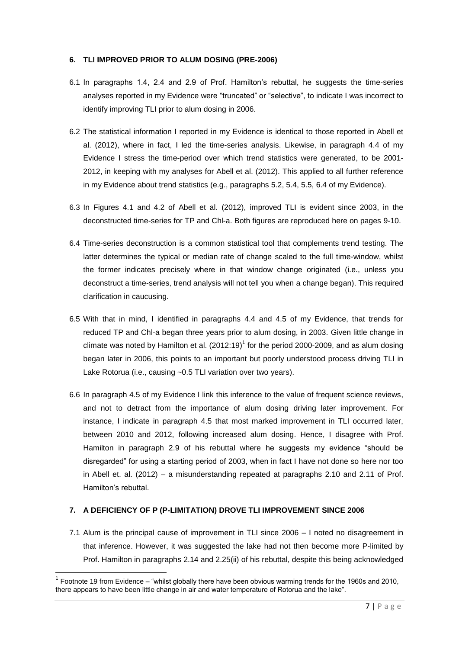#### **6. TLI IMPROVED PRIOR TO ALUM DOSING (PRE-2006)**

- 6.1 In paragraphs 1.4, 2.4 and 2.9 of Prof. Hamilton's rebuttal, he suggests the time-series analyses reported in my Evidence were "truncated" or "selective", to indicate I was incorrect to identify improving TLI prior to alum dosing in 2006.
- 6.2 The statistical information I reported in my Evidence is identical to those reported in Abell et al. (2012), where in fact, I led the time-series analysis. Likewise, in paragraph 4.4 of my Evidence I stress the time-period over which trend statistics were generated, to be 2001- 2012, in keeping with my analyses for Abell et al. (2012). This applied to all further reference in my Evidence about trend statistics (e.g., paragraphs 5.2, 5.4, 5.5, 6.4 of my Evidence).
- 6.3 In Figures 4.1 and 4.2 of Abell et al. (2012), improved TLI is evident since 2003, in the deconstructed time-series for TP and Chl-a. Both figures are reproduced here on pages 9-10.
- 6.4 Time-series deconstruction is a common statistical tool that complements trend testing. The latter determines the typical or median rate of change scaled to the full time-window, whilst the former indicates precisely where in that window change originated (i.e., unless you deconstruct a time-series, trend analysis will not tell you when a change began). This required clarification in caucusing.
- 6.5 With that in mind, I identified in paragraphs 4.4 and 4.5 of my Evidence, that trends for reduced TP and Chl-a began three years prior to alum dosing, in 2003. Given little change in climate was noted by Hamilton et al.  $(2012:19)^1$  for the period 2000-2009, and as alum dosing began later in 2006, this points to an important but poorly understood process driving TLI in Lake Rotorua (i.e., causing ~0.5 TLI variation over two years).
- 6.6 In paragraph 4.5 of my Evidence I link this inference to the value of frequent science reviews, and not to detract from the importance of alum dosing driving later improvement. For instance, I indicate in paragraph 4.5 that most marked improvement in TLI occurred later, between 2010 and 2012, following increased alum dosing. Hence, I disagree with Prof. Hamilton in paragraph 2.9 of his rebuttal where he suggests my evidence "should be disregarded" for using a starting period of 2003, when in fact I have not done so here nor too in Abell et. al. (2012) – a misunderstanding repeated at paragraphs 2.10 and 2.11 of Prof. Hamilton's rebuttal.

#### **7. A DEFICIENCY OF P (P-LIMITATION) DROVE TLI IMPROVEMENT SINCE 2006**

**.** 

7.1 Alum is the principal cause of improvement in TLI since 2006 – I noted no disagreement in that inference. However, it was suggested the lake had not then become more P-limited by Prof. Hamilton in paragraphs 2.14 and 2.25(ii) of his rebuttal, despite this being acknowledged

 $1$  Footnote 19 from Evidence – "whilst globally there have been obvious warming trends for the 1960s and 2010, there appears to have been little change in air and water temperature of Rotorua and the lake".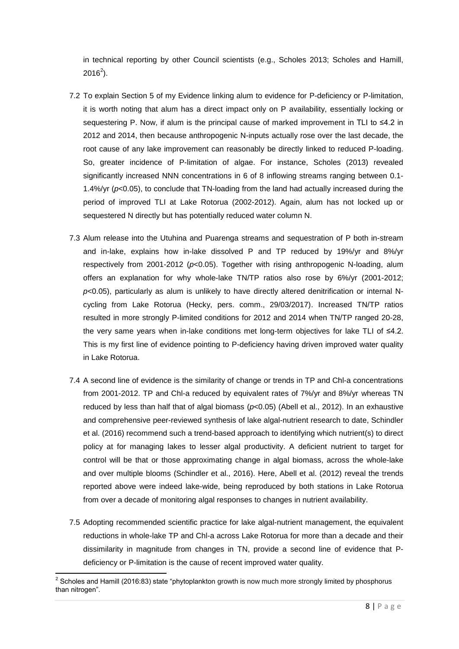in technical reporting by other Council scientists (e.g., Scholes 2013; Scholes and Hamill,  $2016^2$ ).

- 7.2 To explain Section 5 of my Evidence linking alum to evidence for P-deficiency or P-limitation, it is worth noting that alum has a direct impact only on P availability, essentially locking or sequestering P. Now, if alum is the principal cause of marked improvement in TLI to ≤4.2 in 2012 and 2014, then because anthropogenic N-inputs actually rose over the last decade, the root cause of any lake improvement can reasonably be directly linked to reduced P-loading. So, greater incidence of P-limitation of algae. For instance, Scholes (2013) revealed significantly increased NNN concentrations in 6 of 8 inflowing streams ranging between 0.1- 1.4%/yr (*p*<0.05), to conclude that TN-loading from the land had actually increased during the period of improved TLI at Lake Rotorua (2002-2012). Again, alum has not locked up or sequestered N directly but has potentially reduced water column N.
- 7.3 Alum release into the Utuhina and Puarenga streams and sequestration of P both in-stream and in-lake, explains how in-lake dissolved P and TP reduced by 19%/yr and 8%/yr respectively from 2001-2012 (*p*<0.05). Together with rising anthropogenic N-loading, alum offers an explanation for why whole-lake TN/TP ratios also rose by 6%/yr (2001-2012; *p*<0.05), particularly as alum is unlikely to have directly altered denitrification or internal Ncycling from Lake Rotorua (Hecky, pers. comm., 29/03/2017). Increased TN/TP ratios resulted in more strongly P-limited conditions for 2012 and 2014 when TN/TP ranged 20-28, the very same years when in-lake conditions met long-term objectives for lake TLI of ≤4.2. This is my first line of evidence pointing to P-deficiency having driven improved water quality in Lake Rotorua.
- 7.4 A second line of evidence is the similarity of change or trends in TP and Chl-a concentrations from 2001-2012. TP and Chl-a reduced by equivalent rates of 7%/yr and 8%/yr whereas TN reduced by less than half that of algal biomass (*p*<0.05) (Abell et al., 2012). In an exhaustive and comprehensive peer-reviewed synthesis of lake algal-nutrient research to date, Schindler et al. (2016) recommend such a trend-based approach to identifying which nutrient(s) to direct policy at for managing lakes to lesser algal productivity. A deficient nutrient to target for control will be that or those approximating change in algal biomass, across the whole-lake and over multiple blooms (Schindler et al., 2016). Here, Abell et al. (2012) reveal the trends reported above were indeed lake-wide, being reproduced by both stations in Lake Rotorua from over a decade of monitoring algal responses to changes in nutrient availability.
- 7.5 Adopting recommended scientific practice for lake algal-nutrient management, the equivalent reductions in whole-lake TP and Chl-a across Lake Rotorua for more than a decade and their dissimilarity in magnitude from changes in TN, provide a second line of evidence that Pdeficiency or P-limitation is the cause of recent improved water quality.

 2 Scholes and Hamill (2016:83) state "phytoplankton growth is now much more strongly limited by phosphorus than nitrogen".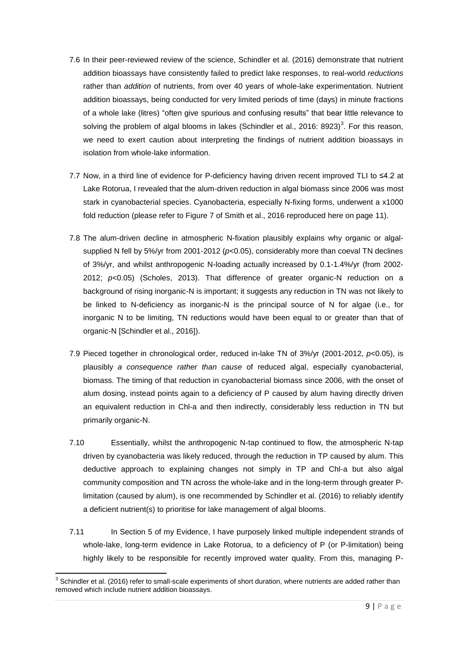- 7.6 In their peer-reviewed review of the science, Schindler et al. (2016) demonstrate that nutrient addition bioassays have consistently failed to predict lake responses, to real-world *reductions* rather than *addition* of nutrients, from over 40 years of whole-lake experimentation. Nutrient addition bioassays, being conducted for very limited periods of time (days) in minute fractions of a whole lake (litres) "often give spurious and confusing results" that bear little relevance to solving the problem of algal blooms in lakes (Schindler et al., 2016: 8923)<sup>3</sup>. For this reason, we need to exert caution about interpreting the findings of nutrient addition bioassays in isolation from whole-lake information.
- 7.7 Now, in a third line of evidence for P-deficiency having driven recent improved TLI to ≤4.2 at Lake Rotorua, I revealed that the alum-driven reduction in algal biomass since 2006 was most stark in cyanobacterial species. Cyanobacteria, especially N-fixing forms, underwent a x1000 fold reduction (please refer to Figure 7 of Smith et al., 2016 reproduced here on page 11).
- 7.8 The alum-driven decline in atmospheric N-fixation plausibly explains why organic or algalsupplied N fell by 5%/yr from 2001-2012 ( $p<0.05$ ), considerably more than coeval TN declines of 3%/yr, and whilst anthropogenic N-loading actually increased by 0.1-1.4%/yr (from 2002- 2012; *p*<0.05) (Scholes, 2013). That difference of greater organic-N reduction on a background of rising inorganic-N is important; it suggests any reduction in TN was not likely to be linked to N-deficiency as inorganic-N is the principal source of N for algae (i.e., for inorganic N to be limiting, TN reductions would have been equal to or greater than that of organic-N [Schindler et al., 2016]).
- 7.9 Pieced together in chronological order, reduced in-lake TN of 3%/yr (2001-2012, *p*<0.05), is plausibly *a consequence rather than cause* of reduced algal, especially cyanobacterial, biomass. The timing of that reduction in cyanobacterial biomass since 2006, with the onset of alum dosing, instead points again to a deficiency of P caused by alum having directly driven an equivalent reduction in Chl-a and then indirectly, considerably less reduction in TN but primarily organic-N.
- 7.10 Essentially, whilst the anthropogenic N-tap continued to flow, the atmospheric N-tap driven by cyanobacteria was likely reduced, through the reduction in TP caused by alum. This deductive approach to explaining changes not simply in TP and Chl-a but also algal community composition and TN across the whole-lake and in the long-term through greater Plimitation (caused by alum), is one recommended by Schindler et al. (2016) to reliably identify a deficient nutrient(s) to prioritise for lake management of algal blooms.
- 7.11 In Section 5 of my Evidence, I have purposely linked multiple independent strands of whole-lake, long-term evidence in Lake Rotorua, to a deficiency of P (or P-limitation) being highly likely to be responsible for recently improved water quality. From this, managing P-

 3 Schindler et al. (2016) refer to small-scale experiments of short duration, where nutrients are added rather than removed which include nutrient addition bioassays.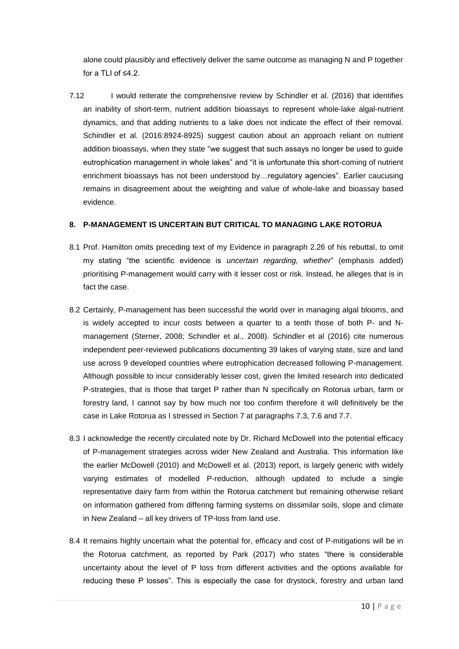alone could plausibly and effectively deliver the same outcome as managing N and P together for a TLI of ≤4.2.

7.12 I would reiterate the comprehensive review by Schindler et al. (2016) that identifies an inability of short-term, nutrient addition bioassays to represent whole-lake algal-nutrient dynamics, and that adding nutrients to a lake does not indicate the effect of their removal. Schindler et al. (2016:8924-8925) suggest caution about an approach reliant on nutrient addition bioassays, when they state "we suggest that such assays no longer be used to guide eutrophication management in whole lakes" and "it is unfortunate this short-coming of nutrient enrichment bioassays has not been understood by…regulatory agencies". Earlier caucusing remains in disagreement about the weighting and value of whole-lake and bioassay based evidence.

#### **8. P-MANAGEMENT IS UNCERTAIN BUT CRITICAL TO MANAGING LAKE ROTORUA**

- 8.1 Prof. Hamilton omits preceding text of my Evidence in paragraph 2.26 of his rebuttal, to omit my stating "the scientific evidence is *uncertain regarding, whether*" (emphasis added) prioritising P-management would carry with it lesser cost or risk. Instead, he alleges that is in fact the case.
- 8.2 Certainly, P-management has been successful the world over in managing algal blooms, and is widely accepted to incur costs between a quarter to a tenth those of both P- and Nmanagement (Sterner, 2008; Schindler et al., 2008). Schindler et al (2016) cite numerous independent peer-reviewed publications documenting 39 lakes of varying state, size and land use across 9 developed countries where eutrophication decreased following P-management. Although possible to incur considerably lesser cost, given the limited research into dedicated P-strategies, that is those that target P rather than N specifically on Rotorua urban, farm or forestry land, I cannot say by how much nor too confirm therefore it will definitively be the case in Lake Rotorua as I stressed in Section 7 at paragraphs 7.3, 7.6 and 7.7.
- 8.3 I acknowledge the recently circulated note by Dr. Richard McDowell into the potential efficacy of P-management strategies across wider New Zealand and Australia. This information like the earlier McDowell (2010) and McDowell et al. (2013) report, is largely generic with widely varying estimates of modelled P-reduction, although updated to include a single representative dairy farm from within the Rotorua catchment but remaining otherwise reliant on information gathered from differing farming systems on dissimilar soils, slope and climate in New Zealand – all key drivers of TP-loss from land use.
- 8.4 It remains highly uncertain what the potential for, efficacy and cost of P-mitigations will be in the Rotorua catchment, as reported by Park (2017) who states "there is considerable uncertainty about the level of P loss from different activities and the options available for reducing these P losses". This is especially the case for drystock, forestry and urban land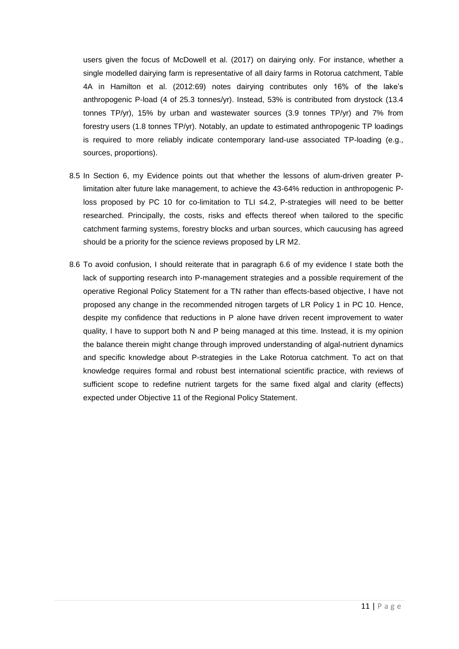users given the focus of McDowell et al. (2017) on dairying only. For instance, whether a single modelled dairying farm is representative of all dairy farms in Rotorua catchment, Table 4A in Hamilton et al. (2012:69) notes dairying contributes only 16% of the lake's anthropogenic P-load (4 of 25.3 tonnes/yr). Instead, 53% is contributed from drystock (13.4 tonnes TP/yr), 15% by urban and wastewater sources (3.9 tonnes TP/yr) and 7% from forestry users (1.8 tonnes TP/yr). Notably, an update to estimated anthropogenic TP loadings is required to more reliably indicate contemporary land-use associated TP-loading (e.g., sources, proportions).

- 8.5 In Section 6, my Evidence points out that whether the lessons of alum-driven greater Plimitation alter future lake management, to achieve the 43-64% reduction in anthropogenic Ploss proposed by PC 10 for co-limitation to TLI ≤4.2, P-strategies will need to be better researched. Principally, the costs, risks and effects thereof when tailored to the specific catchment farming systems, forestry blocks and urban sources, which caucusing has agreed should be a priority for the science reviews proposed by LR M2.
- 8.6 To avoid confusion, I should reiterate that in paragraph 6.6 of my evidence I state both the lack of supporting research into P-management strategies and a possible requirement of the operative Regional Policy Statement for a TN rather than effects-based objective, I have not proposed any change in the recommended nitrogen targets of LR Policy 1 in PC 10. Hence, despite my confidence that reductions in P alone have driven recent improvement to water quality, I have to support both N and P being managed at this time. Instead, it is my opinion the balance therein might change through improved understanding of algal-nutrient dynamics and specific knowledge about P-strategies in the Lake Rotorua catchment. To act on that knowledge requires formal and robust best international scientific practice, with reviews of sufficient scope to redefine nutrient targets for the same fixed algal and clarity (effects) expected under Objective 11 of the Regional Policy Statement.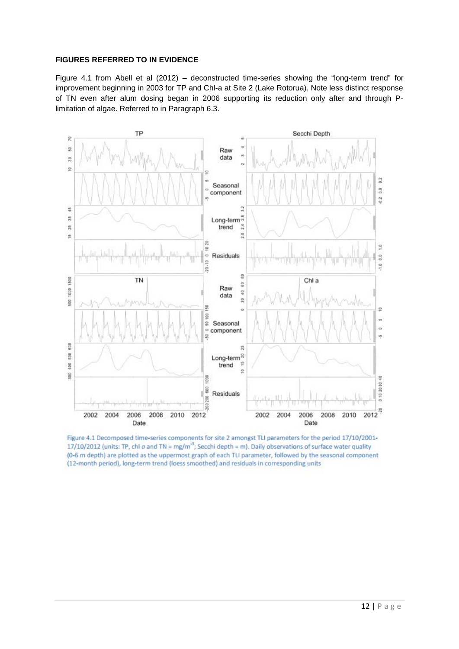#### **FIGURES REFERRED TO IN EVIDENCE**

Figure 4.1 from Abell et al (2012) – deconstructed time-series showing the "long-term trend" for improvement beginning in 2003 for TP and Chl-a at Site 2 (Lake Rotorua). Note less distinct response of TN even after alum dosing began in 2006 supporting its reduction only after and through Plimitation of algae. Referred to in Paragraph 6.3.



Figure 4.1 Decomposed time-series components for site 2 amongst TLI parameters for the period 17/10/2001-17/10/2012 (units: TP, chl a and TN = mg/m<sup>-3</sup>; Secchi depth = m). Daily observations of surface water quality (0-6 m depth) are plotted as the uppermost graph of each TLI parameter, followed by the seasonal component (12-month period), long-term trend (loess smoothed) and residuals in corresponding units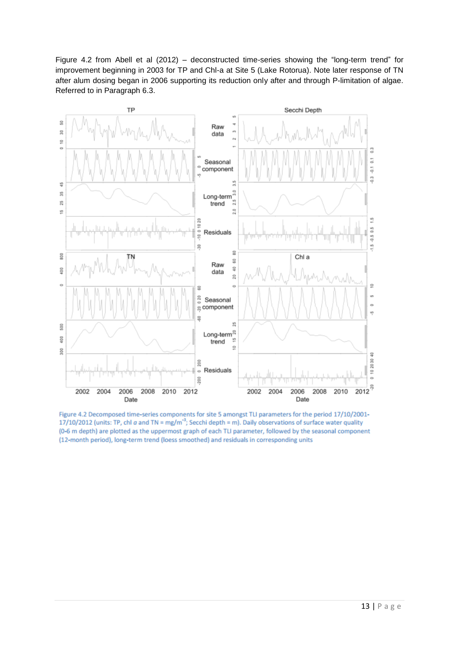Figure 4.2 from Abell et al (2012) – deconstructed time-series showing the "long-term trend" for improvement beginning in 2003 for TP and Chl-a at Site 5 (Lake Rotorua). Note later response of TN after alum dosing began in 2006 supporting its reduction only after and through P-limitation of algae. Referred to in Paragraph 6.3.



Figure 4.2 Decomposed time-series components for site 5 amongst TLI parameters for the period 17/10/2001-17/10/2012 (units: TP, chl  $\alpha$  and TN = mg/m<sup>-3</sup>; Secchi depth = m). Daily observations of surface water quality (0-6 m depth) are plotted as the uppermost graph of each TLI parameter, followed by the seasonal component (12-month period), long-term trend (loess smoothed) and residuals in corresponding units